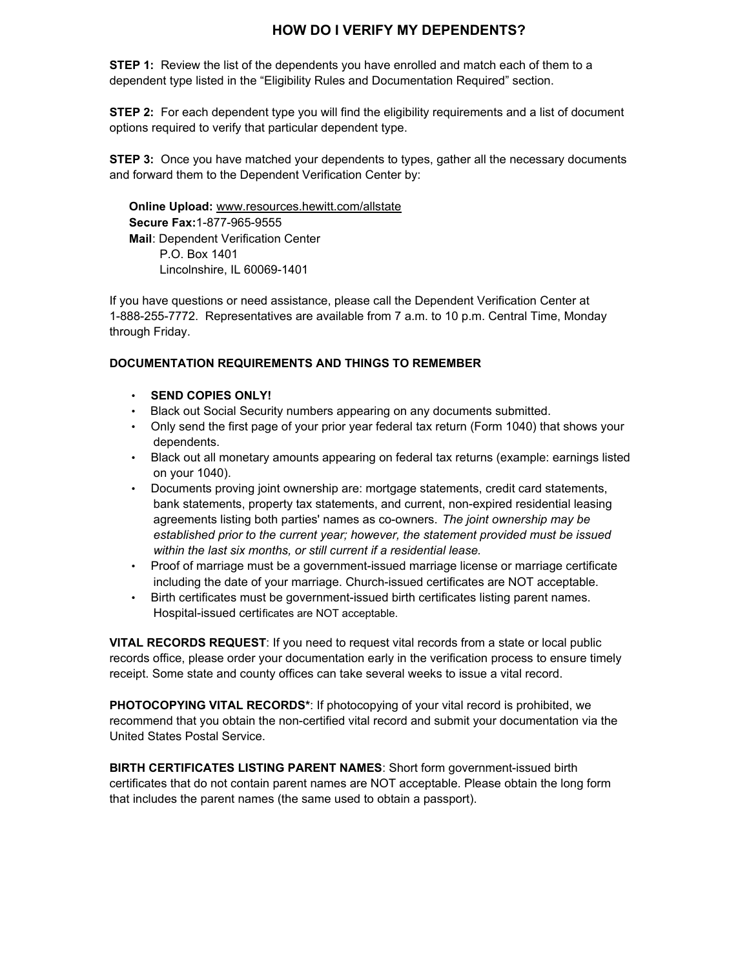# **HOW DO I VERIFY MY DEPENDENTS?**

**STEP 1:** Review the list of the dependents you have enrolled and match each of them to a dependent type listed in the "Eligibility Rules and Documentation Required" section.

**STEP 2:** For each dependent type you will find the eligibility requirements and a list of document options required to verify that particular dependent type.

**STEP 3:** Once you have matched your dependents to types, gather all the necessary documents and forward them to the Dependent Verification Center by:

 **Online Upload:** www.resources.hewitt.com/allstate  **Secure Fax:**1-877-965-9555  **Mail**: Dependent Verification Center P.O. Box 1401 Lincolnshire, IL 60069-1401

If you have questions or need assistance, please call the Dependent Verification Center at 1-888-255-7772. Representatives are available from 7 a.m. to 10 p.m. Central Time, Monday through Friday.

### **DOCUMENTATION REQUIREMENTS AND THINGS TO REMEMBER**

- **SEND COPIES ONLY!**
- Black out Social Security numbers appearing on any documents submitted.
- Only send the first page of your prior year federal tax return (Form 1040) that shows your dependents.
- Black out all monetary amounts appearing on federal tax returns (example: earnings listed on your 1040).
- Documents proving joint ownership are: mortgage statements, credit card statements, bank statements, property tax statements, and current, non-expired residential leasing agreements listing both parties' names as co-owners. *The joint ownership may be established prior to the current year; however, the statement provided must be issued within the last six months, or still current if a residential lease.*
- Proof of marriage must be a government-issued marriage license or marriage certificate including the date of your marriage. Church-issued certificates are NOT acceptable.
- Birth certificates must be government-issued birth certificates listing parent names. Hospital-issued certificates are NOT acceptable.

**VITAL RECORDS REQUEST**: If you need to request vital records from a state or local public records office, please order your documentation early in the verification process to ensure timely receipt. Some state and county offices can take several weeks to issue a vital record.

**PHOTOCOPYING VITAL RECORDS\***: If photocopying of your vital record is prohibited, we recommend that you obtain the non-certified vital record and submit your documentation via the United States Postal Service.

**BIRTH CERTIFICATES LISTING PARENT NAMES**: Short form government-issued birth certificates that do not contain parent names are NOT acceptable. Please obtain the long form that includes the parent names (the same used to obtain a passport).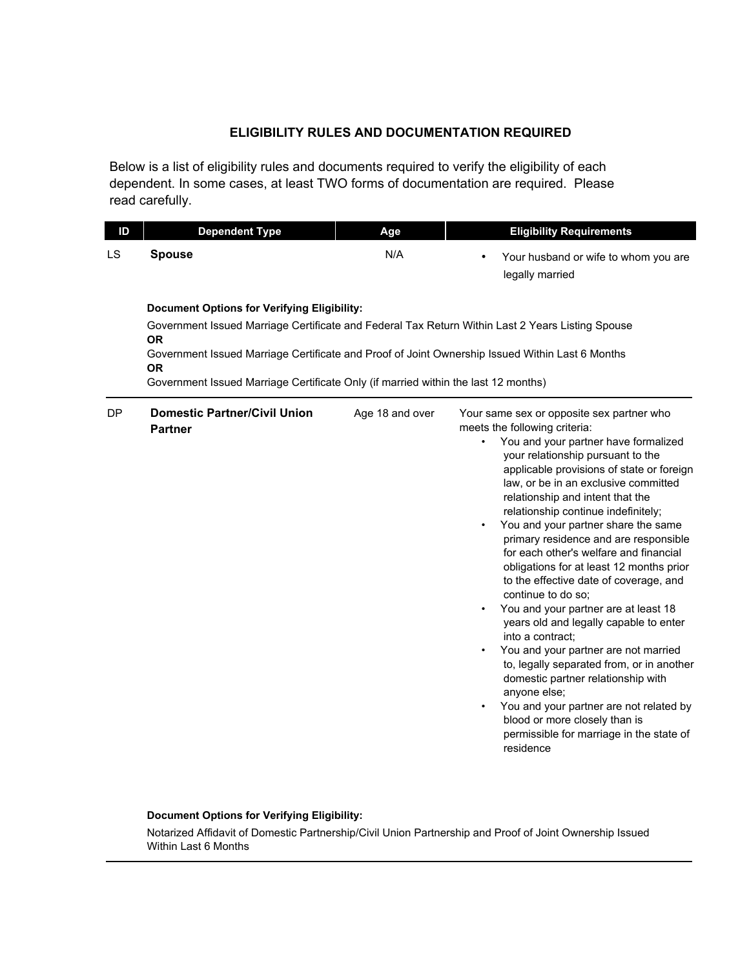## **ELIGIBILITY RULES AND DOCUMENTATION REQUIRED**

Below is a list of eligibility rules and documents required to verify the eligibility of each dependent. In some cases, at least TWO forms of documentation are required. Please read carefully.

| ID | <b>Dependent Type</b>                                                                                                                                                                                                                                                                                                                                                     | Age             | <b>Eligibility Requirements</b>                                                                                                                                                                                                                                                                                                                                                                                                                                                                                                                                                                                                                                                                                                                                                                                                                                                                                                                                                                                      |  |  |  |
|----|---------------------------------------------------------------------------------------------------------------------------------------------------------------------------------------------------------------------------------------------------------------------------------------------------------------------------------------------------------------------------|-----------------|----------------------------------------------------------------------------------------------------------------------------------------------------------------------------------------------------------------------------------------------------------------------------------------------------------------------------------------------------------------------------------------------------------------------------------------------------------------------------------------------------------------------------------------------------------------------------------------------------------------------------------------------------------------------------------------------------------------------------------------------------------------------------------------------------------------------------------------------------------------------------------------------------------------------------------------------------------------------------------------------------------------------|--|--|--|
| LS | <b>Spouse</b>                                                                                                                                                                                                                                                                                                                                                             | N/A             | Your husband or wife to whom you are<br>legally married                                                                                                                                                                                                                                                                                                                                                                                                                                                                                                                                                                                                                                                                                                                                                                                                                                                                                                                                                              |  |  |  |
|    | <b>Document Options for Verifying Eligibility:</b><br>Government Issued Marriage Certificate and Federal Tax Return Within Last 2 Years Listing Spouse<br><b>OR</b><br>Government Issued Marriage Certificate and Proof of Joint Ownership Issued Within Last 6 Months<br><b>OR</b><br>Government Issued Marriage Certificate Only (if married within the last 12 months) |                 |                                                                                                                                                                                                                                                                                                                                                                                                                                                                                                                                                                                                                                                                                                                                                                                                                                                                                                                                                                                                                      |  |  |  |
| DP | <b>Domestic Partner/Civil Union</b><br><b>Partner</b>                                                                                                                                                                                                                                                                                                                     | Age 18 and over | Your same sex or opposite sex partner who<br>meets the following criteria:<br>You and your partner have formalized<br>$\bullet$<br>your relationship pursuant to the<br>applicable provisions of state or foreign<br>law, or be in an exclusive committed<br>relationship and intent that the<br>relationship continue indefinitely;<br>You and your partner share the same<br>$\bullet$<br>primary residence and are responsible<br>for each other's welfare and financial<br>obligations for at least 12 months prior<br>to the effective date of coverage, and<br>continue to do so:<br>You and your partner are at least 18<br>$\bullet$<br>years old and legally capable to enter<br>into a contract;<br>You and your partner are not married<br>$\bullet$<br>to, legally separated from, or in another<br>domestic partner relationship with<br>anyone else;<br>You and your partner are not related by<br>$\bullet$<br>blood or more closely than is<br>permissible for marriage in the state of<br>residence |  |  |  |

### **Document Options for Verifying Eligibility:**

Notarized Affidavit of Domestic Partnership/Civil Union Partnership and Proof of Joint Ownership Issued Within Last 6 Months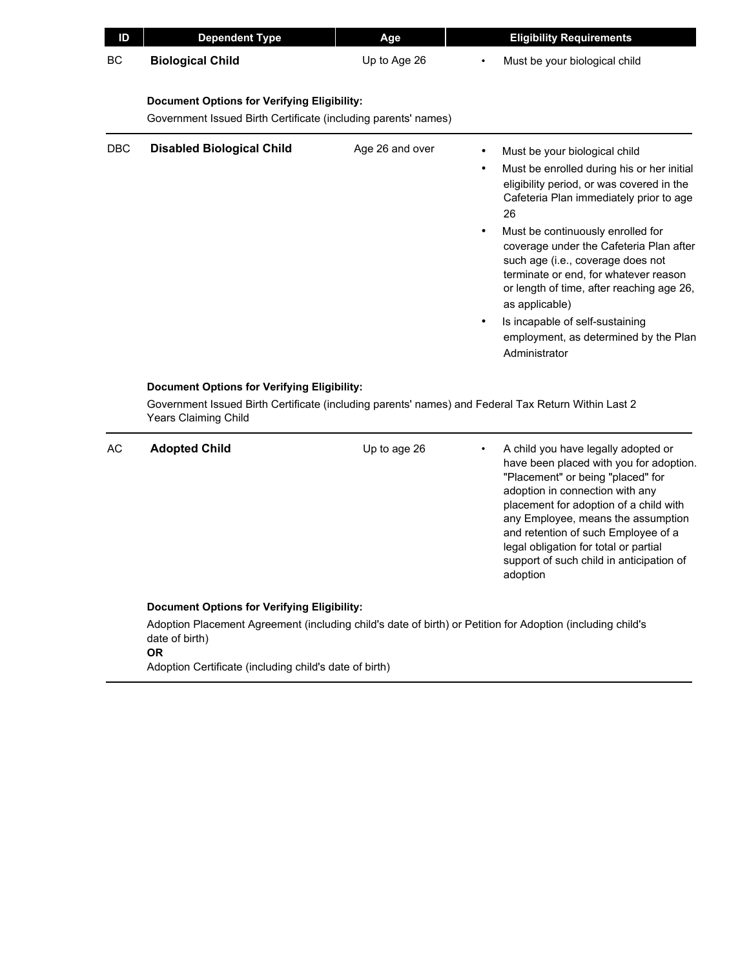| ID  | <b>Dependent Type</b>                                                                                                | Age             | <b>Eligibility Requirements</b>                                                                                                                                                                                                                                                                                                                                                                                                                                                                                  |
|-----|----------------------------------------------------------------------------------------------------------------------|-----------------|------------------------------------------------------------------------------------------------------------------------------------------------------------------------------------------------------------------------------------------------------------------------------------------------------------------------------------------------------------------------------------------------------------------------------------------------------------------------------------------------------------------|
| BC  | <b>Biological Child</b>                                                                                              | Up to Age 26    | Must be your biological child                                                                                                                                                                                                                                                                                                                                                                                                                                                                                    |
|     | <b>Document Options for Verifying Eligibility:</b><br>Government Issued Birth Certificate (including parents' names) |                 |                                                                                                                                                                                                                                                                                                                                                                                                                                                                                                                  |
| DBC | <b>Disabled Biological Child</b><br><b>Document Options for Verifying Eligibility:</b>                               | Age 26 and over | Must be your biological child<br>Must be enrolled during his or her initial<br>eligibility period, or was covered in the<br>Cafeteria Plan immediately prior to age<br>26<br>Must be continuously enrolled for<br>$\bullet$<br>coverage under the Cafeteria Plan after<br>such age (i.e., coverage does not<br>terminate or end, for whatever reason<br>or length of time, after reaching age 26,<br>as applicable)<br>Is incapable of self-sustaining<br>employment, as determined by the Plan<br>Administrator |
|     | <b>Years Claiming Child</b>                                                                                          |                 | Government Issued Birth Certificate (including parents' names) and Federal Tax Return Within Last 2                                                                                                                                                                                                                                                                                                                                                                                                              |
| AC  | <b>Adopted Child</b>                                                                                                 | Up to age 26    | A child you have legally adopted or<br>have been placed with you for adoption.<br>"Placement" or being "placed" for<br>adoption in connection with any<br>placement for adoption of a child with<br>any Employee, means the assumption<br>and retention of such Employee of a<br>legal obligation for total or partial                                                                                                                                                                                           |

### **Document Options for Verifying Eligibility:**

Adoption Placement Agreement (including child's date of birth) or Petition for Adoption (including child's date of birth) **OR**

Adoption Certificate (including child's date of birth)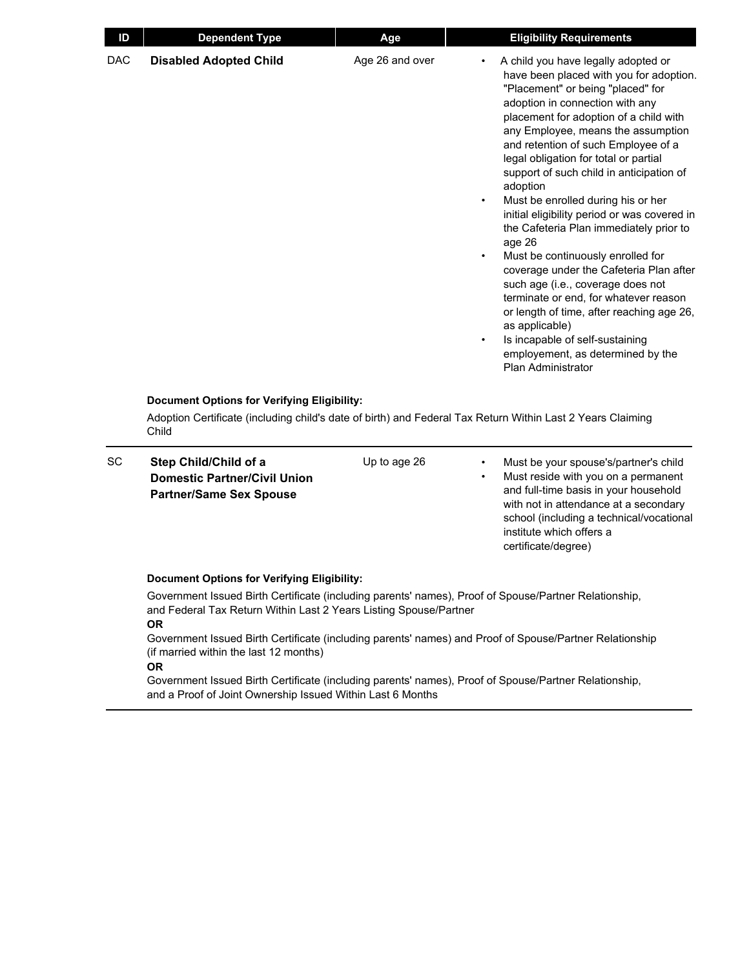| ID        | <b>Dependent Type</b>                                                                          | Age             | <b>Eligibility Requirements</b>                                                                                                                                                                                                                                                                                                                                                                                                                                                                                                                                                                                                                                                                                                                                                                                                                                   |
|-----------|------------------------------------------------------------------------------------------------|-----------------|-------------------------------------------------------------------------------------------------------------------------------------------------------------------------------------------------------------------------------------------------------------------------------------------------------------------------------------------------------------------------------------------------------------------------------------------------------------------------------------------------------------------------------------------------------------------------------------------------------------------------------------------------------------------------------------------------------------------------------------------------------------------------------------------------------------------------------------------------------------------|
| DAC       | <b>Disabled Adopted Child</b>                                                                  | Age 26 and over | A child you have legally adopted or<br>have been placed with you for adoption.<br>"Placement" or being "placed" for<br>adoption in connection with any<br>placement for adoption of a child with<br>any Employee, means the assumption<br>and retention of such Employee of a<br>legal obligation for total or partial<br>support of such child in anticipation of<br>adoption<br>Must be enrolled during his or her<br>initial eligibility period or was covered in<br>the Cafeteria Plan immediately prior to<br>age 26<br>Must be continuously enrolled for<br>$\bullet$<br>coverage under the Cafeteria Plan after<br>such age (i.e., coverage does not<br>terminate or end, for whatever reason<br>or length of time, after reaching age 26,<br>as applicable)<br>Is incapable of self-sustaining<br>employement, as determined by the<br>Plan Administrator |
|           | Document Options for Verifying Eligibility:<br>Child                                           |                 | Adoption Certificate (including child's date of birth) and Federal Tax Return Within Last 2 Years Claiming                                                                                                                                                                                                                                                                                                                                                                                                                                                                                                                                                                                                                                                                                                                                                        |
| <b>SC</b> | Step Child/Child of a<br><b>Domestic Partner/Civil Union</b><br><b>Partner/Same Sex Spouse</b> | Up to age 26    | Must be your spouse's/partner's child<br>Must reside with you on a permanent<br>$\bullet$<br>and full-time basis in your household<br>with not in attendance at a secondary<br>school (including a technical/vocational                                                                                                                                                                                                                                                                                                                                                                                                                                                                                                                                                                                                                                           |

and full-time basis in your household with not in attendance at a secondary school (including a technical/vocational institute which offers a certificate/degree)

### **Document Options for Verifying Eligibility:**

Government Issued Birth Certificate (including parents' names), Proof of Spouse/Partner Relationship, and Federal Tax Return Within Last 2 Years Listing Spouse/Partner **OR**

Government Issued Birth Certificate (including parents' names) and Proof of Spouse/Partner Relationship (if married within the last 12 months) **OR**

Government Issued Birth Certificate (including parents' names), Proof of Spouse/Partner Relationship, and a Proof of Joint Ownership Issued Within Last 6 Months